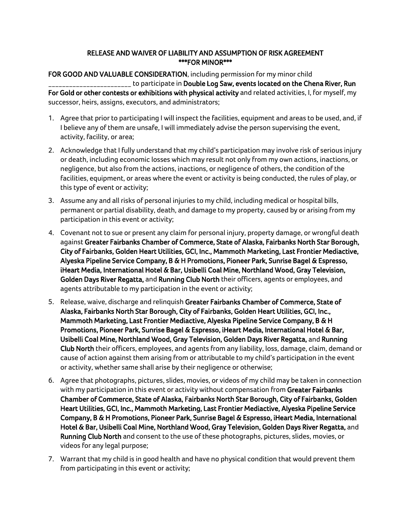## RELEASE AND WAIVER OF LIABILITY AND ASSUMPTION OF RISK AGREEMENT \*\*\*FOR MINOR\*\*\*

## FOR GOOD AND VALUABLE CONSIDERATION, including permission for my minor child **\_\_\_\_\_\_\_\_\_** to participate in Double Log Saw, events located on the Chena River, Run For Gold or other contests or exhibitions with physical activity and related activities, I, for myself, my successor, heirs, assigns, executors, and administrators;

- 1. Agree that prior to participating I will inspect the facilities, equipment and areas to be used, and, if I believe any of them are unsafe, I will immediately advise the person supervising the event, activity, facility, or area;
- 2. Acknowledge that I fully understand that my child's participation may involve risk of serious injury or death, including economic losses which may result not only from my own actions, inactions, or negligence, but also from the actions, inactions, or negligence of others, the condition of the facilities, equipment, or areas where the event or activity is being conducted, the rules of play, or this type of event or activity;
- 3. Assume any and all risks of personal injuries to my child, including medical or hospital bills, permanent or partial disability, death, and damage to my property, caused by or arising from my participation in this event or activity;
- 4. Covenant not to sue or present any claim for personal injury, property damage, or wrongful death against Greater Fairbanks Chamber of Commerce, State of Alaska, Fairbanks North Star Borough, City of Fairbanks, Golden Heart Utilities, GCI, Inc., Mammoth Marketing, Last Frontier Mediactive, Alyeska Pipeline Service Company, B & H Promotions, Pioneer Park, Sunrise Bagel & Espresso, iHeart Media, International Hotel & Bar, Usibelli Coal Mine, Northland Wood, Gray Television, Golden Days River Regatta, and Running Club North their officers, agents or employees, and agents attributable to my participation in the event or activity;
- 5. Release, waive, discharge and relinquish Greater Fairbanks Chamber of Commerce, State of Alaska, Fairbanks North Star Borough, City of Fairbanks, Golden Heart Utilities, GCI, Inc., Mammoth Marketing, Last Frontier Mediactive, Alyeska Pipeline Service Company, B & H Promotions, Pioneer Park, Sunrise Bagel & Espresso, iHeart Media, International Hotel & Bar, Usibelli Coal Mine, Northland Wood, Gray Television, Golden Days River Regatta, and Running Club North their officers, employees, and agents from any liability, loss, damage, claim, demand or cause of action against them arising from or attributable to my child's participation in the event or activity, whether same shall arise by their negligence or otherwise;
- 6. Agree that photographs, pictures, slides, movies, or videos of my child may be taken in connection with my participation in this event or activity without compensation from Greater Fairbanks Chamber of Commerce, State of Alaska, Fairbanks North Star Borough, City of Fairbanks, Golden Heart Utilities, GCI, Inc., Mammoth Marketing, Last Frontier Mediactive, Alyeska Pipeline Service Company, B & H Promotions, Pioneer Park, Sunrise Bagel & Espresso, iHeart Media, International Hotel & Bar, Usibelli Coal Mine, Northland Wood, Gray Television, Golden Days River Regatta, and Running Club North and consent to the use of these photographs, pictures, slides, movies, or videos for any legal purpose;
- 7. Warrant that my child is in good health and have no physical condition that would prevent them from participating in this event or activity;